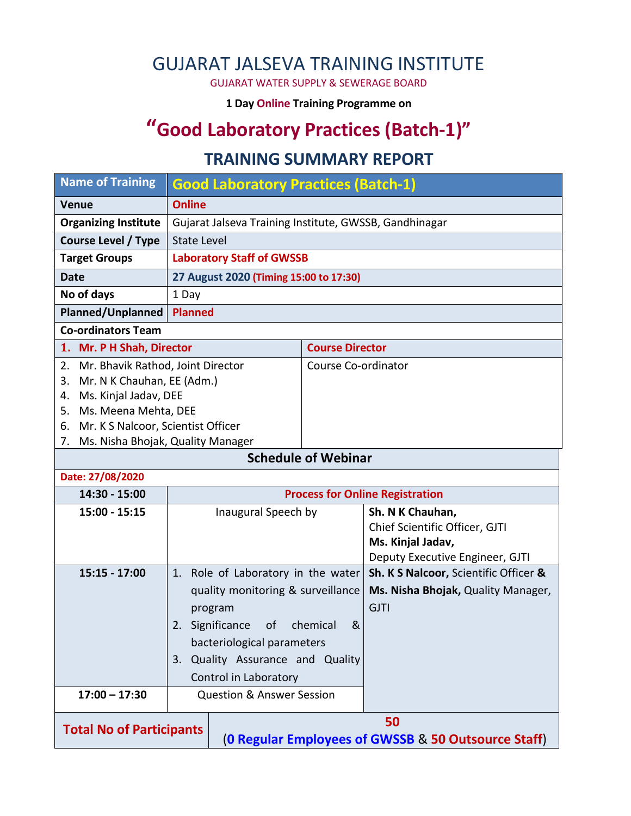## GUJARAT JALSEVA TRAINING INSTITUTE

GUJARAT WATER SUPPLY & SEWERAGE BOARD

**1 Day Online Training Programme on** 

# **"Good Laboratory Practices (Batch-1)"**

#### **TRAINING SUMMARY REPORT**

| <b>Name of Training</b>                  | <b>Good Laboratory Practices (Batch-1)</b>             |                                                     |                        |                                       |  |  |
|------------------------------------------|--------------------------------------------------------|-----------------------------------------------------|------------------------|---------------------------------------|--|--|
| <b>Venue</b>                             | <b>Online</b>                                          |                                                     |                        |                                       |  |  |
| <b>Organizing Institute</b>              | Gujarat Jalseva Training Institute, GWSSB, Gandhinagar |                                                     |                        |                                       |  |  |
| <b>Course Level / Type</b>               | <b>State Level</b>                                     |                                                     |                        |                                       |  |  |
| <b>Target Groups</b>                     | <b>Laboratory Staff of GWSSB</b>                       |                                                     |                        |                                       |  |  |
| <b>Date</b>                              | 27 August 2020 (Timing 15:00 to 17:30)                 |                                                     |                        |                                       |  |  |
| No of days                               | 1 Day                                                  |                                                     |                        |                                       |  |  |
| Planned/Unplanned                        | <b>Planned</b>                                         |                                                     |                        |                                       |  |  |
| <b>Co-ordinators Team</b>                |                                                        |                                                     |                        |                                       |  |  |
| 1. Mr. P H Shah, Director                |                                                        |                                                     | <b>Course Director</b> |                                       |  |  |
| 2.                                       | Mr. Bhavik Rathod, Joint Director                      |                                                     |                        | Course Co-ordinator                   |  |  |
| Mr. N K Chauhan, EE (Adm.)<br>3.         |                                                        |                                                     |                        |                                       |  |  |
| Ms. Kinjal Jadav, DEE<br>4.              |                                                        |                                                     |                        |                                       |  |  |
| 5.                                       | Ms. Meena Mehta, DEE                                   |                                                     |                        |                                       |  |  |
| Mr. K S Nalcoor, Scientist Officer<br>6. |                                                        |                                                     |                        |                                       |  |  |
| Ms. Nisha Bhojak, Quality Manager<br>7.  |                                                        |                                                     |                        |                                       |  |  |
| <b>Schedule of Webinar</b>               |                                                        |                                                     |                        |                                       |  |  |
| Date: 27/08/2020                         |                                                        |                                                     |                        |                                       |  |  |
| 14:30 - 15:00                            | <b>Process for Online Registration</b>                 |                                                     |                        |                                       |  |  |
| 15:00 - 15:15                            | Inaugural Speech by                                    |                                                     |                        | Sh. N K Chauhan,                      |  |  |
|                                          |                                                        |                                                     |                        | Chief Scientific Officer, GJTI        |  |  |
|                                          |                                                        |                                                     |                        | Ms. Kinjal Jadav,                     |  |  |
|                                          |                                                        |                                                     |                        | Deputy Executive Engineer, GJTI       |  |  |
| 15:15 - 17:00                            | 1.                                                     | Role of Laboratory in the water                     |                        | Sh. K S Nalcoor, Scientific Officer & |  |  |
|                                          | quality monitoring & surveillance                      |                                                     |                        | Ms. Nisha Bhojak, Quality Manager,    |  |  |
|                                          | program                                                |                                                     |                        | <b>GJTI</b>                           |  |  |
|                                          | Significance<br>&<br>of<br>chemical<br>2.              |                                                     |                        |                                       |  |  |
|                                          | bacteriological parameters                             |                                                     |                        |                                       |  |  |
|                                          | Quality Assurance and Quality<br>3.                    |                                                     |                        |                                       |  |  |
|                                          |                                                        | Control in Laboratory                               |                        |                                       |  |  |
| $17:00 - 17:30$                          |                                                        | <b>Question &amp; Answer Session</b>                |                        |                                       |  |  |
|                                          |                                                        |                                                     |                        |                                       |  |  |
| 50<br><b>Total No of Participants</b>    |                                                        |                                                     |                        |                                       |  |  |
|                                          |                                                        | (O Regular Employees of GWSSB & 50 Outsource Staff) |                        |                                       |  |  |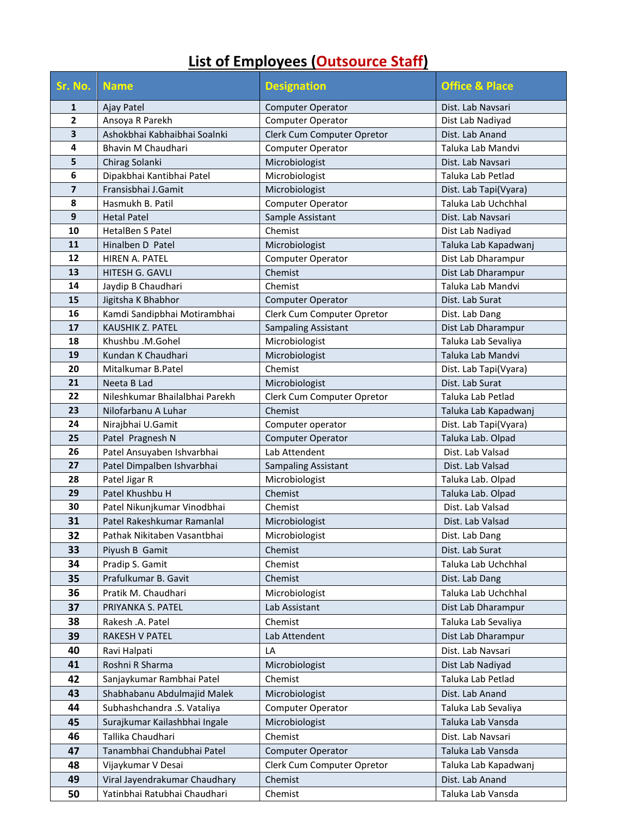# **List of Employees (Outsource Staff)**

| Sr. No.                 | <b>Name</b>                    | <b>Designation</b>         | <b>Office &amp; Place</b> |
|-------------------------|--------------------------------|----------------------------|---------------------------|
| 1                       | Ajay Patel                     | <b>Computer Operator</b>   | Dist. Lab Navsari         |
| $\overline{\mathbf{2}}$ | Ansoya R Parekh                | Computer Operator          | Dist Lab Nadiyad          |
| 3                       | Ashokbhai Kabhaibhai Soalnki   | Clerk Cum Computer Opretor | Dist. Lab Anand           |
| 4                       | Bhavin M Chaudhari             | <b>Computer Operator</b>   | Taluka Lab Mandvi         |
| 5                       | Chirag Solanki                 | Microbiologist             | Dist. Lab Navsari         |
| 6                       | Dipakbhai Kantibhai Patel      | Microbiologist             | Taluka Lab Petlad         |
| $\overline{\mathbf{z}}$ | Fransisbhai J.Gamit            | Microbiologist             | Dist. Lab Tapi(Vyara)     |
| 8                       | Hasmukh B. Patil               | Computer Operator          | Taluka Lab Uchchhal       |
| 9                       | <b>Hetal Patel</b>             | Sample Assistant           | Dist. Lab Navsari         |
| 10                      | HetalBen S Patel               | Chemist                    | Dist Lab Nadiyad          |
| 11                      | Hinalben D Patel               | Microbiologist             | Taluka Lab Kapadwanj      |
| 12                      | <b>HIREN A. PATEL</b>          | <b>Computer Operator</b>   | Dist Lab Dharampur        |
| 13                      | HITESH G. GAVLI                | Chemist                    | Dist Lab Dharampur        |
| 14                      | Jaydip B Chaudhari             | Chemist                    | Taluka Lab Mandvi         |
| 15                      | Jigitsha K Bhabhor             | Computer Operator          | Dist. Lab Surat           |
| 16                      | Kamdi Sandipbhai Motirambhai   | Clerk Cum Computer Opretor | Dist. Lab Dang            |
| 17                      | <b>KAUSHIK Z. PATEL</b>        | <b>Sampaling Assistant</b> | Dist Lab Dharampur        |
| 18                      | Khushbu .M.Gohel               | Microbiologist             | Taluka Lab Sevaliya       |
| 19                      | Kundan K Chaudhari             | Microbiologist             | Taluka Lab Mandvi         |
| 20                      | Mitalkumar B.Patel             | Chemist                    | Dist. Lab Tapi(Vyara)     |
| 21                      | Neeta B Lad                    | Microbiologist             | Dist. Lab Surat           |
| 22                      | Nileshkumar Bhailalbhai Parekh | Clerk Cum Computer Opretor | Taluka Lab Petlad         |
| 23                      | Nilofarbanu A Luhar            | Chemist                    | Taluka Lab Kapadwanj      |
| 24                      | Nirajbhai U.Gamit              | Computer operator          | Dist. Lab Tapi(Vyara)     |
| 25                      | Patel Pragnesh N               | <b>Computer Operator</b>   | Taluka Lab. Olpad         |
| 26                      | Patel Ansuyaben Ishvarbhai     | Lab Attendent              | Dist. Lab Valsad          |
| 27                      | Patel Dimpalben Ishvarbhai     | Sampaling Assistant        | Dist. Lab Valsad          |
| 28                      | Patel Jigar R                  | Microbiologist             | Taluka Lab. Olpad         |
| 29                      | Patel Khushbu H                | Chemist                    | Taluka Lab. Olpad         |
| 30                      | Patel Nikunjkumar Vinodbhai    | Chemist                    | Dist. Lab Valsad          |
| 31                      | Patel Rakeshkumar Ramanlal     | Microbiologist             | Dist. Lab Valsad          |
| 32                      | Pathak Nikitaben Vasantbhai    | Microbiologist             | Dist. Lab Dang            |
| 33                      | Piyush B Gamit                 | Chemist                    | Dist. Lab Surat           |
| 34                      | Pradip S. Gamit                | Chemist                    | Taluka Lab Uchchhal       |
| 35                      | Prafulkumar B. Gavit           | Chemist                    | Dist. Lab Dang            |
| 36                      | Pratik M. Chaudhari            | Microbiologist             | Taluka Lab Uchchhal       |
| 37                      | PRIYANKA S. PATEL              | Lab Assistant              | Dist Lab Dharampur        |
| 38                      | Rakesh .A. Patel               | Chemist                    | Taluka Lab Sevaliya       |
| 39                      | RAKESH V PATEL                 | Lab Attendent              | Dist Lab Dharampur        |
| 40                      | Ravi Halpati                   | LA                         | Dist. Lab Navsari         |
| 41                      | Roshni R Sharma                | Microbiologist             | Dist Lab Nadiyad          |
| 42                      | Sanjaykumar Rambhai Patel      | Chemist                    | Taluka Lab Petlad         |
| 43                      | Shabhabanu Abdulmajid Malek    | Microbiologist             | Dist. Lab Anand           |
| 44                      | Subhashchandra .S. Vataliya    | Computer Operator          | Taluka Lab Sevaliya       |
| 45                      | Surajkumar Kailashbhai Ingale  | Microbiologist             | Taluka Lab Vansda         |
| 46                      | Tallika Chaudhari              | Chemist                    | Dist. Lab Navsari         |
| 47                      | Tanambhai Chandubhai Patel     | <b>Computer Operator</b>   | Taluka Lab Vansda         |
| 48                      | Vijaykumar V Desai             | Clerk Cum Computer Opretor | Taluka Lab Kapadwanj      |
| 49                      | Viral Jayendrakumar Chaudhary  | Chemist                    | Dist. Lab Anand           |
| 50                      | Yatinbhai Ratubhai Chaudhari   | Chemist                    | Taluka Lab Vansda         |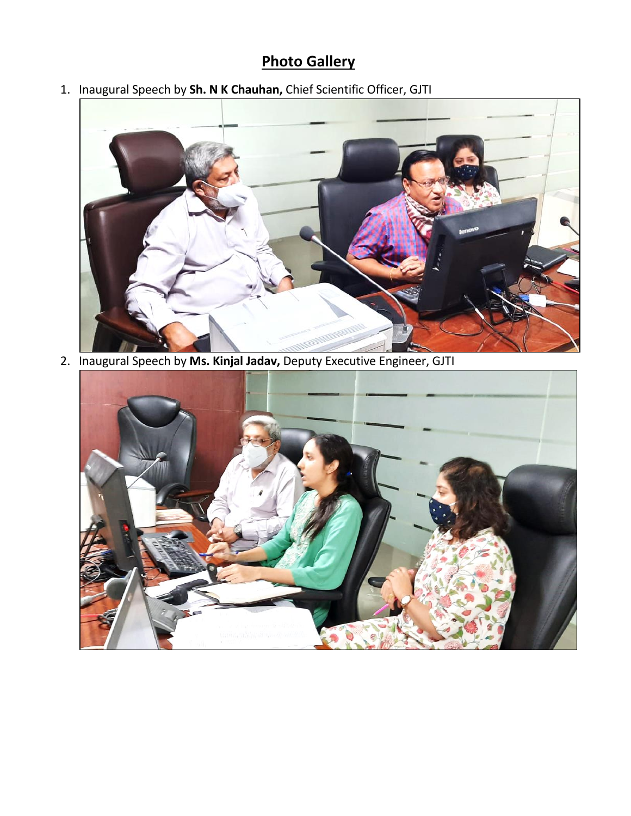### **Photo Gallery**

1. Inaugural Speech by **Sh. N K Chauhan,** Chief Scientific Officer, GJTI



2. Inaugural Speech by **Ms. Kinjal Jadav,** Deputy Executive Engineer, GJTI